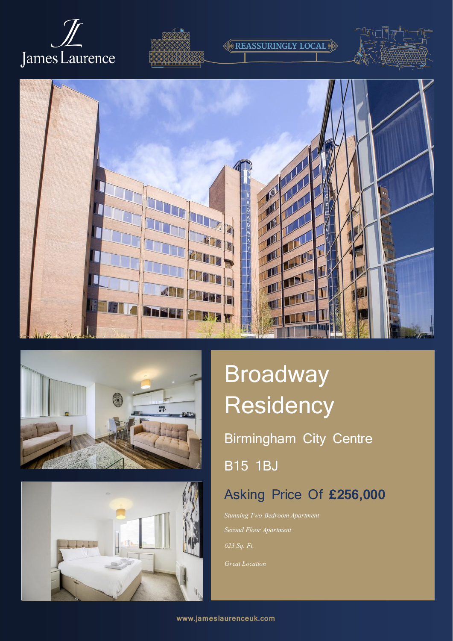









# Broadway **Residency**

**REASSURINGLY LOCAL** 

Birmingham City Centre

B15 1BJ

## Asking Price Of **£256,000**

*Stunning Two-Bedroom Apartment Second Floor Apartment Great Location*